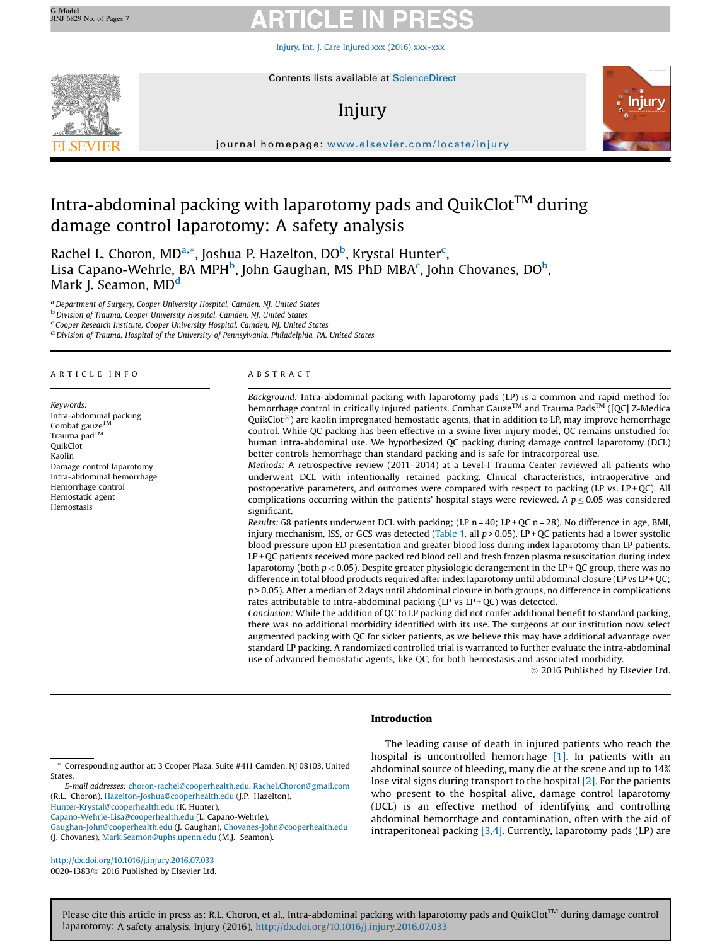Injury, Int. J. Care [Injured](http://dx.doi.org/10.1016/j.injury.2016.07.033) xxx (2016) xxx–xxx



# Injury



journal homepage: <www.elsevier.com/locate/injury>/ $\mathcal{N}$ 

# Intra-abdominal packing with laparotomy pads and QuikClot<sup>TM</sup> during damage control laparotomy: A safety analysis

Rachel L. Choron, MD<sup>a,\*</sup>, Joshua P. Hazelton, DO<sup>b</sup>, Krystal Hunter<sup>c</sup>, Lisa Capano-Wehrle, BA MPH<sup>b</sup>, John Gaughan, MS PhD MBA<sup>c</sup>, John Chovanes, DO<sup>b</sup>, Mark J. Seamon, MD<sup>d</sup>

<sup>a</sup> Department of Surgery, Cooper University Hospital, Camden, NJ, United States b<br><sup>b</sup> Division of Trauma, Cooper University Hospital, Camden, NJ, United States cooper Research Institute, Cooper University Hospital, Camde

<sup>d</sup> Division of Trauma, Hospital of the University of Pennsylvania, Philadelphia, PA, United States

### A R T I C L E I N F O

Keywords: Intra-abdominal packing Combat gauze $^{T}$ Trauma  $\bar{p}$ ad<sup>TM</sup> QuikClot Kaolin Damage control laparotomy Intra-abdominal hemorrhage Hemorrhage control Hemostatic agent Hemostasis

### A B S T R A C T

Background: Intra-abdominal packing with laparotomy pads (LP) is a common and rapid method for hemorrhage control in critically injured patients. Combat Gauze<sup>TM</sup> and Trauma Pads<sup>TM</sup> ([QC] Z-Medica QuikClot<sup>®</sup>) are kaolin impregnated hemostatic agents, that in addition to LP, may improve hemorrhage control. While QC packing has been effective in a swine liver injury model, QC remains unstudied for human intra-abdominal use. We hypothesized QC packing during damage control laparotomy (DCL) better controls hemorrhage than standard packing and is safe for intracorporeal use.

Methods: A retrospective review (2011–2014) at a Level-I Trauma Center reviewed all patients who underwent DCL with intentionally retained packing. Clinical characteristics, intraoperative and postoperative parameters, and outcomes were compared with respect to packing (LP vs.  $LP + QC$ ). All complications occurring within the patients' hospital stays were reviewed. A  $p \leq 0.05$  was considered significant.

Results: 68 patients underwent DCL with packing; (LP  $n = 40$ ; LP + QC  $n = 28$ ). No difference in age, BMI, injury mechanism, ISS, or GCS was detected [\(Table](#page-2-0) 1, all  $p > 0.05$ ). LP + QC patients had a lower systolic blood pressure upon ED presentation and greater blood loss during index laparotomy than LP patients. LP + QC patients received more packed red blood cell and fresh frozen plasma resuscitation during index laparotomy (both  $p < 0.05$ ). Despite greater physiologic derangement in the LP + QC group, there was no difference in total blood products required after index laparotomy until abdominal closure (LP vs LP + QC; p > 0.05). After a median of 2 days until abdominal closure in both groups, no difference in complications rates attributable to intra-abdominal packing  $(LP \text{ vs } LP + OC)$  was detected.

Conclusion: While the addition of QC to LP packing did not confer additional benefit to standard packing, there was no additional morbidity identified with its use. The surgeons at our institution now select augmented packing with QC for sicker patients, as we believe this may have additional advantage over standard LP packing. A randomized controlled trial is warranted to further evaluate the intra-abdominal use of advanced hemostatic agents, like QC, for both hemostasis and associated morbidity.

ã 2016 Published by Elsevier Ltd.

### Introduction

E-mail addresses: [choron-rachel@cooperhealth.edu](mailto:choron-rachel@cooperhealth.edu), [Rachel.Choron@gmail.com](mailto:Rachel.Choron@gmail.com) (R.L. Choron), [Hazelton-Joshua@cooperhealth.edu](mailto:Hazelton-Joshua@cooperhealth.edu) (J.P. Hazelton), [Hunter-Krystal@cooperhealth.edu](mailto:Hunter-Krystal@cooperhealth.edu) (K. Hunter),

[Capano-Wehrle-Lisa@cooperhealth.edu](mailto:Capano-Wehrle-Lisa@cooperhealth.edu) (L. Capano-Wehrle),

<http://dx.doi.org/10.1016/j.injury.2016.07.033> 0020-1383/@ 2016 Published by Elsevier Ltd.

The leading cause of death in injured patients who reach the hospital is uncontrolled hemorrhage [\[1\]](#page-5-0). In patients with an abdominal source of bleeding, many die at the scene and up to 14% lose vital signs during transport to the hospital [\[2\]](#page-5-0). For the patients who present to the hospital alive, damage control laparotomy (DCL) is an effective method of identifying and controlling abdominal hemorrhage and contamination, often with the aid of intraperitoneal packing  $[3,4]$ . Currently, laparotomy pads (LP) are

Please cite this article in press as: R.L. Choron, et al., Intra-abdominal packing with laparotomy pads and QuikClot<sup>TM</sup> during damage control laparotomy: A safety analysis, Injury (2016), <http://dx.doi.org/10.1016/j.injury.2016.07.033>

Corresponding author at: 3 Cooper Plaza, Suite #411 Camden, NJ 08103, United **States** 

[Gaughan-John@cooperhealth.edu](mailto:Gaughan-John@cooperhealth.edu) (J. Gaughan), [Chovanes-John@cooperhealth.edu](mailto:Chovanes-John@cooperhealth.edu) (J. Chovanes), [Mark.Seamon@uphs.upenn.edu](mailto:Mark.Seamon@uphs.upenn.edu) (M.J. Seamon).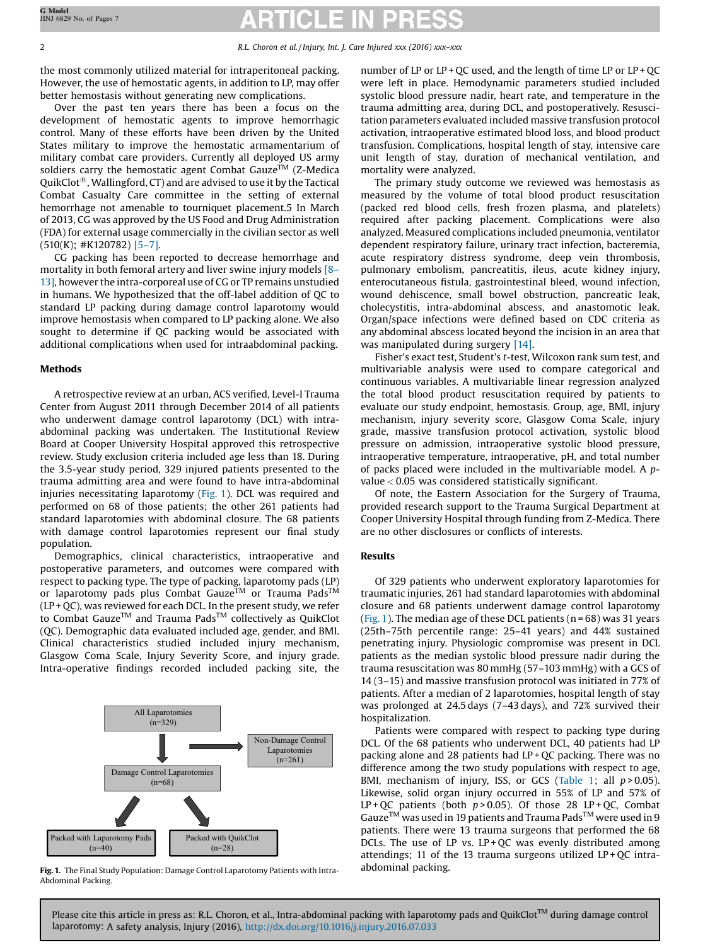the most commonly utilized material for intraperitoneal packing. However, the use of hemostatic agents, in addition to LP, may offer better hemostasis without generating new complications.

Over the past ten years there has been a focus on the development of hemostatic agents to improve hemorrhagic control. Many of these efforts have been driven by the United States military to improve the hemostatic armamentarium of military combat care providers. Currently all deployed US army soldiers carry the hemostatic agent Combat Gauze<sup>TM</sup> (Z-Medica QuikClot $\mathcal{B}$ , Wallingford, CT) and are advised to use it by the Tactical Combat Casualty Care committee in the setting of external hemorrhage not amenable to tourniquet placement.5 In March of 2013, CG was approved by the US Food and Drug Administration (FDA) for external usage commercially in the civilian sector as well (510(K); #K120782) [5–[7\].](#page-5-0)

CG packing has been reported to decrease hemorrhage and mortality in both femoral artery and liver swine injury models [\[8](#page-5-0)– [13\],](#page-5-0) however the intra-corporeal use of CG or TP remains unstudied in humans. We hypothesized that the off-label addition of QC to standard LP packing during damage control laparotomy would improve hemostasis when compared to LP packing alone. We also sought to determine if QC packing would be associated with additional complications when used for intraabdominal packing.

### Methods

A retrospective review at an urban, ACS verified, Level-I Trauma Center from August 2011 through December 2014 of all patients who underwent damage control laparotomy (DCL) with intraabdominal packing was undertaken. The Institutional Review Board at Cooper University Hospital approved this retrospective review. Study exclusion criteria included age less than 18. During the 3.5-year study period, 329 injured patients presented to the trauma admitting area and were found to have intra-abdominal injuries necessitating laparotomy (Fig. 1). DCL was required and performed on 68 of those patients; the other 261 patients had standard laparotomies with abdominal closure. The 68 patients with damage control laparotomies represent our final study population.

Demographics, clinical characteristics, intraoperative and postoperative parameters, and outcomes were compared with respect to packing type. The type of packing, laparotomy pads (LP) or laparotomy pads plus Combat Gauze<sup>TM</sup> or Trauma Pads<sup>TM</sup>  $(LP + QC)$ , was reviewed for each DCL. In the present study, we refer to Combat Gauze<sup>™</sup> and Trauma Pads<sup>™</sup> collectively as QuikClot (QC). Demographic data evaluated included age, gender, and BMI. Clinical characteristics studied included injury mechanism, Glasgow Coma Scale, Injury Severity Score, and injury grade. Intra-operative findings recorded included packing site, the



Fig.1. The Final Study Population: Damage Control Laparotomy Patients with Intra-Abdominal Packing.

number of LP or  $LP + QC$  used, and the length of time LP or  $LP + QC$ were left in place. Hemodynamic parameters studied included systolic blood pressure nadir, heart rate, and temperature in the trauma admitting area, during DCL, and postoperatively. Resuscitation parameters evaluated included massive transfusion protocol activation, intraoperative estimated blood loss, and blood product transfusion. Complications, hospital length of stay, intensive care unit length of stay, duration of mechanical ventilation, and mortality were analyzed.

The primary study outcome we reviewed was hemostasis as measured by the volume of total blood product resuscitation (packed red blood cells, fresh frozen plasma, and platelets) required after packing placement. Complications were also analyzed. Measured complications included pneumonia, ventilator dependent respiratory failure, urinary tract infection, bacteremia, acute respiratory distress syndrome, deep vein thrombosis, pulmonary embolism, pancreatitis, ileus, acute kidney injury, enterocutaneous fistula, gastrointestinal bleed, wound infection, wound dehiscence, small bowel obstruction, pancreatic leak, cholecystitis, intra-abdominal abscess, and anastomotic leak. Organ/space infections were defined based on CDC criteria as any abdominal abscess located beyond the incision in an area that was manipulated during surgery [\[14\]](#page-5-0).

Fisher's exact test, Student's t-test, Wilcoxon rank sum test, and multivariable analysis were used to compare categorical and continuous variables. A multivariable linear regression analyzed the total blood product resuscitation required by patients to evaluate our study endpoint, hemostasis. Group, age, BMI, injury mechanism, injury severity score, Glasgow Coma Scale, injury grade, massive transfusion protocol activation, systolic blood pressure on admission, intraoperative systolic blood pressure, intraoperative temperature, intraoperative, pH, and total number of packs placed were included in the multivariable model. A pvalue < 0.05 was considered statistically significant.

Of note, the Eastern Association for the Surgery of Trauma, provided research support to the Trauma Surgical Department at Cooper University Hospital through funding from Z-Medica. There are no other disclosures or conflicts of interests.

### Results

Of 329 patients who underwent exploratory laparotomies for traumatic injuries, 261 had standard laparotomies with abdominal closure and 68 patients underwent damage control laparotomy (Fig. 1). The median age of these DCL patients ( $n = 68$ ) was 31 years (25th–75th percentile range: 25–41 years) and 44% sustained penetrating injury. Physiologic compromise was present in DCL patients as the median systolic blood pressure nadir during the trauma resuscitation was 80 mmHg (57–103 mmHg) with a GCS of 14 (3–15) and massive transfusion protocol was initiated in 77% of patients. After a median of 2 laparotomies, hospital length of stay was prolonged at 24.5 days (7–43 days), and 72% survived their hospitalization.

Patients were compared with respect to packing type during DCL. Of the 68 patients who underwent DCL, 40 patients had LP packing alone and 28 patients had LP + QC packing. There was no difference among the two study populations with respect to age, BMI, mechanism of injury, ISS, or GCS ([Table](#page-2-0) 1; all  $p > 0.05$ ). Likewise, solid organ injury occurred in 55% of LP and 57% of LP + QC patients (both  $p > 0.05$ ). Of those 28 LP + QC, Combat Gauze<sup>TM</sup> was used in 19 patients and Trauma Pads<sup>TM</sup> were used in 9 patients. There were 13 trauma surgeons that performed the 68 DCLs. The use of LP vs.  $LP + QC$  was evenly distributed among attendings; 11 of the 13 trauma surgeons utilized  $LP + QC$  intraabdominal packing.

JINJ 6829 No. of Pages 7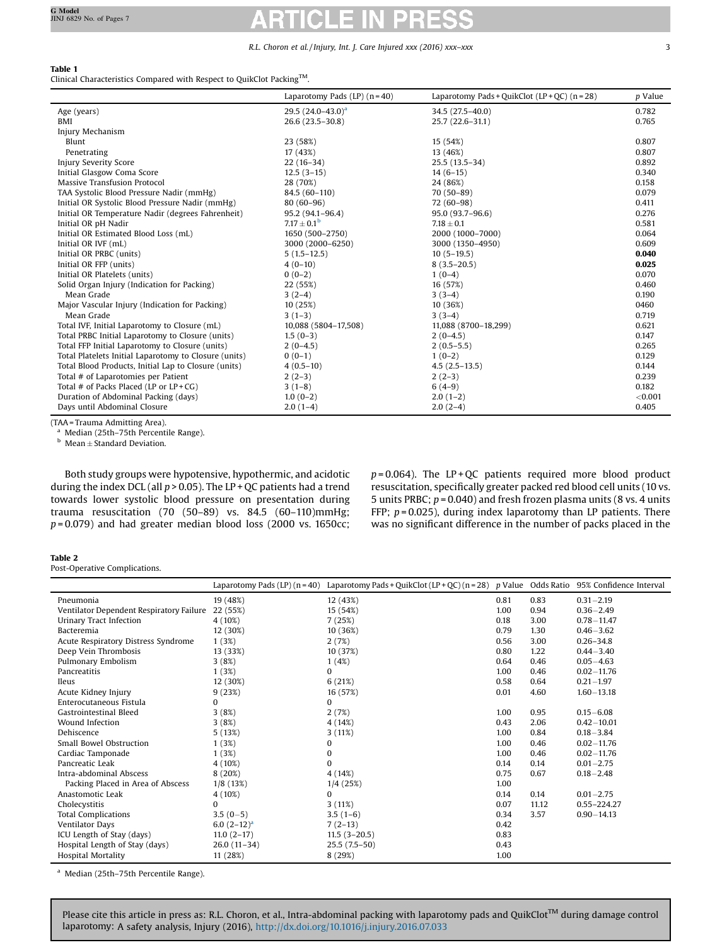## <span id="page-2-0"></span>Table 1

Clinical Characteristics Compared with Respect to QuikClot PackingTM.

|                                                       | Laparotomy Pads $(LP)$ (n = 40) | Laparotomy Pads + QuikClot $(LP+OC)$ (n = 28) | p Value |
|-------------------------------------------------------|---------------------------------|-----------------------------------------------|---------|
| Age (years)                                           | 29.5 $(24.0-43.0)^{a}$          | 34.5 (27.5-40.0)                              | 0.782   |
| <b>BMI</b>                                            | $26.6(23.5 - 30.8)$             | $25.7(22.6-31.1)$                             | 0.765   |
| Injury Mechanism                                      |                                 |                                               |         |
| Blunt                                                 | 23 (58%)                        | 15 (54%)                                      | 0.807   |
| Penetrating                                           | 17 (43%)                        | 13 (46%)                                      | 0.807   |
| <b>Injury Severity Score</b>                          | $22(16-34)$                     | $25.5(13.5-34)$                               | 0.892   |
| Initial Glasgow Coma Score                            | $12.5(3-15)$                    | $14(6-15)$                                    | 0.340   |
| Massive Transfusion Protocol                          | 28 (70%)                        | 24 (86%)                                      | 0.158   |
| TAA Systolic Blood Pressure Nadir (mmHg)              | 84.5 (60-110)                   | $70(50-89)$                                   | 0.079   |
| Initial OR Systolic Blood Pressure Nadir (mmHg)       | $80(60-96)$                     | 72 (60-98)                                    | 0.411   |
| Initial OR Temperature Nadir (degrees Fahrenheit)     | 95.2 (94.1-96.4)                | 95.0 (93.7-96.6)                              | 0.276   |
| Initial OR pH Nadir                                   | $7.17 \pm 0.1^{\rm b}$          | $7.18 \pm 0.1$                                | 0.581   |
| Initial OR Estimated Blood Loss (mL)                  | 1650 (500-2750)                 | 2000 (1000-7000)                              | 0.064   |
| Initial OR IVF (mL)                                   | 3000 (2000-6250)                | 3000 (1350-4950)                              | 0.609   |
| Initial OR PRBC (units)                               | $5(1.5-12.5)$                   | $10(5-19.5)$                                  | 0.040   |
| Initial OR FFP (units)                                | $4(0-10)$                       | $8(3.5-20.5)$                                 | 0.025   |
| Initial OR Platelets (units)                          | $0(0-2)$                        | $1(0-4)$                                      | 0.070   |
| Solid Organ Injury (Indication for Packing)           | 22 (55%)                        | 16 (57%)                                      | 0.460   |
| Mean Grade                                            | $3(2-4)$                        | $3(3-4)$                                      | 0.190   |
| Major Vascular Injury (Indication for Packing)        | 10 (25%)                        | 10 (36%)                                      | 0460    |
| Mean Grade                                            | $3(1-3)$                        | $3(3-4)$                                      | 0.719   |
| Total IVF, Initial Laparotomy to Closure (mL)         | 10,088 (5804-17,508)            | 11,088 (8700-18,299)                          | 0.621   |
| Total PRBC Initial Laparotomy to Closure (units)      | $1.5(0-3)$                      | $2(0-4.5)$                                    | 0.147   |
| Total FFP Initial Laparotomy to Closure (units)       | $2(0-4.5)$                      | $2(0.5-5.5)$                                  | 0.265   |
| Total Platelets Initial Laparotomy to Closure (units) | $0(0-1)$                        | $1(0-2)$                                      | 0.129   |
| Total Blood Products, Initial Lap to Closure (units)  | $4(0.5-10)$                     | $4.5(2.5-13.5)$                               | 0.144   |
| Total # of Laparotomies per Patient                   | $2(2-3)$                        | $2(2-3)$                                      | 0.239   |
| Total # of Packs Placed (LP or $LP$ +CG)              | $3(1-8)$                        | $6(4-9)$                                      | 0.182   |
| Duration of Abdominal Packing (days)                  | $1.0(0-2)$                      | $2.0(1-2)$                                    | < 0.001 |
| Days until Abdominal Closure                          | $2.0(1-4)$                      | $2.0(2-4)$                                    | 0.405   |

(TAA = Trauma Admitting Area).

<sup>a</sup> Median (25th–75th Percentile Range).<br><sup>b</sup> Mean + Standard Deviation

 $Mean \pm Standard$  Deviation.

Both study groups were hypotensive, hypothermic, and acidotic during the index DCL (all  $p > 0.05$ ). The LP + QC patients had a trend towards lower systolic blood pressure on presentation during trauma resuscitation (70 (50–89) vs. 84.5 (60–110)mmHg;  $p = 0.079$ ) and had greater median blood loss (2000 vs. 1650cc;  $p = 0.064$ ). The LP + QC patients required more blood product resuscitation, specifically greater packed red blood cell units (10 vs. 5 units PRBC;  $p = 0.040$ ) and fresh frozen plasma units (8 vs. 4 units FFP;  $p = 0.025$ ), during index laparotomy than LP patients. There was no significant difference in the number of packs placed in the

### Table 2

Post-Operative Complications.

|                                          |                  | Laparotomy Pads (LP) ( $n = 40$ ) Laparotomy Pads + QuikClot (LP + QC) ( $n = 28$ ) p Value Odds Ratio 95% Confidence Interval |      |       |                |
|------------------------------------------|------------------|--------------------------------------------------------------------------------------------------------------------------------|------|-------|----------------|
| Pneumonia                                | 19 (48%)         | 12 (43%)                                                                                                                       | 0.81 | 0.83  | $0.31 - 2.19$  |
| Ventilator Dependent Respiratory Failure | 22 (55%)         | 15 (54%)                                                                                                                       | 1.00 | 0.94  | $0.36 - 2.49$  |
| Urinary Tract Infection                  | 4 (10%)          | 7(25%)                                                                                                                         | 0.18 | 3.00  | $0.78 - 11.47$ |
| Bacteremia                               | 12 (30%)         | 10 (36%)                                                                                                                       | 0.79 | 1.30  | $0.46 - 3.62$  |
| Acute Respiratory Distress Syndrome      | 1(3%)            | 2(7%)                                                                                                                          | 0.56 | 3.00  | $0.26 - 34.8$  |
| Deep Vein Thrombosis                     | 13 (33%)         | 10 (37%)                                                                                                                       | 0.80 | 1.22  | $0.44 - 3.40$  |
| Pulmonary Embolism                       | 3(8%)            | 1(4%)                                                                                                                          | 0.64 | 0.46  | $0.05 - 4.63$  |
| Pancreatitis                             | 1(3%)            | 0                                                                                                                              | 1.00 | 0.46  | $0.02 - 11.76$ |
| Ileus                                    | 12 (30%)         | 6(21%)                                                                                                                         | 0.58 | 0.64  | $0.21 - 1.97$  |
| Acute Kidney Injury                      | 9(23%)           | 16 (57%)                                                                                                                       | 0.01 | 4.60  | $1.60 - 13.18$ |
| Enterocutaneous Fistula                  | $\Omega$         | $\Omega$                                                                                                                       |      |       |                |
| Gastrointestinal Bleed                   | 3(8%)            | 2(7%)                                                                                                                          | 1.00 | 0.95  | $0.15 - 6.08$  |
| Wound Infection                          | 3(8%)            | 4(14%)                                                                                                                         | 0.43 | 2.06  | $0.42 - 10.01$ |
| Dehiscence                               | 5(13%)           | 3(11%)                                                                                                                         | 1.00 | 0.84  | $0.18 - 3.84$  |
| Small Bowel Obstruction                  | 1(3%)            | 0                                                                                                                              | 1.00 | 0.46  | $0.02 - 11.76$ |
| Cardiac Tamponade                        | 1(3%)            | $\Omega$                                                                                                                       | 1.00 | 0.46  | $0.02 - 11.76$ |
| Pancreatic Leak                          | 4(10%)           |                                                                                                                                | 0.14 | 0.14  | $0.01 - 2.75$  |
| Intra-abdominal Abscess                  | 8(20%)           | 4 (14%)                                                                                                                        | 0.75 | 0.67  | $0.18 - 2.48$  |
| Packing Placed in Area of Abscess        | 1/8(13%)         | 1/4(25%)                                                                                                                       | 1.00 |       |                |
| Anastomotic Leak                         | 4 (10%)          | $\Omega$                                                                                                                       | 0.14 | 0.14  | $0.01 - 2.75$  |
| Cholecystitis                            | $\Omega$         | 3(11%)                                                                                                                         | 0.07 | 11.12 | 0.55-224.27    |
| <b>Total Complications</b>               | $3.5(0-5)$       | $3.5(1-6)$                                                                                                                     | 0.34 | 3.57  | $0.90 - 14.13$ |
| Ventilator Days                          | $6.0 (2-12)^{a}$ | $7(2-13)$                                                                                                                      | 0.42 |       |                |
| ICU Length of Stay (days)                | $11.0(2-17)$     | $11.5(3 - 20.5)$                                                                                                               | 0.83 |       |                |
| Hospital Length of Stay (days)           | $26.0(11-34)$    | $25.5(7.5-50)$                                                                                                                 | 0.43 |       |                |
| <b>Hospital Mortality</b>                | 11 (28%)         | 8(29%)                                                                                                                         | 1.00 |       |                |

<sup>a</sup> Median (25th–75th Percentile Range).

Please cite this article in press as: R.L. Choron, et al., Intra-abdominal packing with laparotomy pads and QuikClot™ during damage control laparotomy: A safety analysis, Injury (2016), <http://dx.doi.org/10.1016/j.injury.2016.07.033>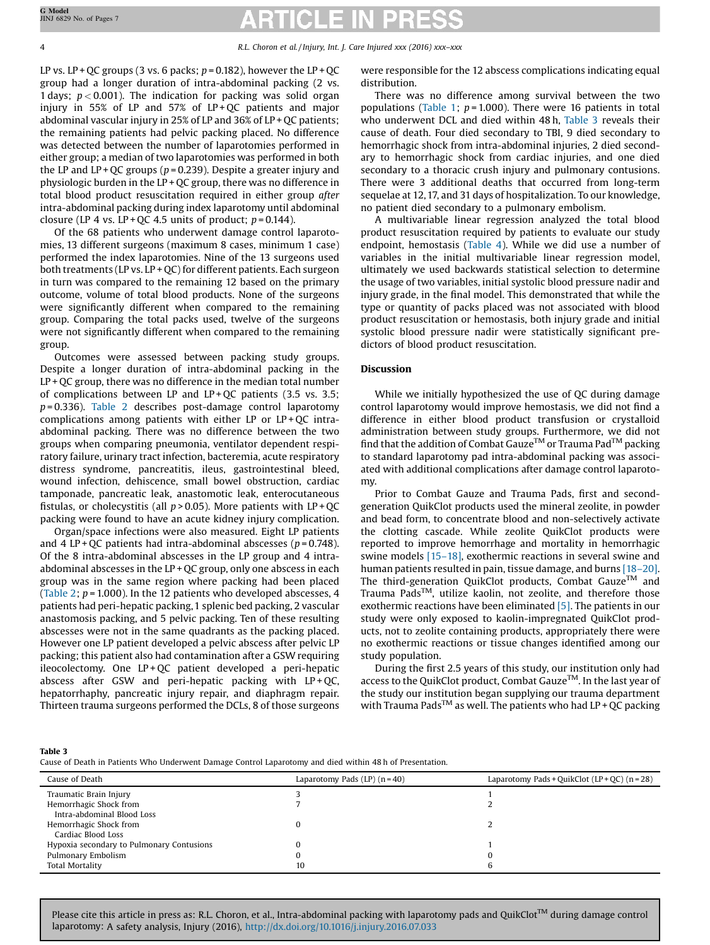LP vs. LP + QC groups (3 vs. 6 packs;  $p = 0.182$ ), however the LP + QC group had a longer duration of intra-abdominal packing (2 vs. 1 days;  $p < 0.001$ ). The indication for packing was solid organ injury in 55% of LP and 57% of  $LP + QC$  patients and major abdominal vascular injury in 25% of LP and 36% of LP + QC patients; the remaining patients had pelvic packing placed. No difference was detected between the number of laparotomies performed in either group; a median of two laparotomies was performed in both the LP and LP + QC groups ( $p = 0.239$ ). Despite a greater injury and physiologic burden in the LP + QC group, there was no difference in total blood product resuscitation required in either group after intra-abdominal packing during index laparotomy until abdominal closure (LP 4 vs. LP + QC 4.5 units of product;  $p = 0.144$ ).

Of the 68 patients who underwent damage control laparotomies, 13 different surgeons (maximum 8 cases, minimum 1 case) performed the index laparotomies. Nine of the 13 surgeons used both treatments (LP vs.  $LP + OC$ ) for different patients. Each surgeon in turn was compared to the remaining 12 based on the primary outcome, volume of total blood products. None of the surgeons were significantly different when compared to the remaining group. Comparing the total packs used, twelve of the surgeons were not significantly different when compared to the remaining group.

Outcomes were assessed between packing study groups. Despite a longer duration of intra-abdominal packing in the LP + QC group, there was no difference in the median total number of complications between LP and  $LP + QC$  patients (3.5 vs. 3.5;  $p = 0.336$ ). [Table](#page-2-0) 2 describes post-damage control laparotomy complications among patients with either LP or  $LP + QC$  intraabdominal packing. There was no difference between the two groups when comparing pneumonia, ventilator dependent respiratory failure, urinary tract infection, bacteremia, acute respiratory distress syndrome, pancreatitis, ileus, gastrointestinal bleed, wound infection, dehiscence, small bowel obstruction, cardiac tamponade, pancreatic leak, anastomotic leak, enterocutaneous fistulas, or cholecystitis (all  $p > 0.05$ ). More patients with LP + QC packing were found to have an acute kidney injury complication.

Organ/space infections were also measured. Eight LP patients and 4 LP + QC patients had intra-abdominal abscesses ( $p = 0.748$ ). Of the 8 intra-abdominal abscesses in the LP group and 4 intraabdominal abscesses in the  $LP + QC$  group, only one abscess in each group was in the same region where packing had been placed ([Table](#page-2-0) 2;  $p = 1.000$ ). In the 12 patients who developed abscesses, 4 patients had peri-hepatic packing,1 splenic bed packing, 2 vascular anastomosis packing, and 5 pelvic packing. Ten of these resulting abscesses were not in the same quadrants as the packing placed. However one LP patient developed a pelvic abscess after pelvic LP packing; this patient also had contamination after a GSW requiring ileocolectomy. One LP + QC patient developed a peri-hepatic abscess after GSW and peri-hepatic packing with  $LP + QC$ , hepatorrhaphy, pancreatic injury repair, and diaphragm repair. Thirteen trauma surgeons performed the DCLs, 8 of those surgeons were responsible for the 12 abscess complications indicating equal distribution.

There was no difference among survival between the two populations ([Table](#page-2-0) 1;  $p = 1.000$ ). There were 16 patients in total who underwent DCL and died within 48 h, Table 3 reveals their cause of death. Four died secondary to TBI, 9 died secondary to hemorrhagic shock from intra-abdominal injuries, 2 died secondary to hemorrhagic shock from cardiac injuries, and one died secondary to a thoracic crush injury and pulmonary contusions. There were 3 additional deaths that occurred from long-term sequelae at 12, 17, and 31 days of hospitalization. To our knowledge, no patient died secondary to a pulmonary embolism.

A multivariable linear regression analyzed the total blood product resuscitation required by patients to evaluate our study endpoint, hemostasis [\(Table](#page-4-0) 4). While we did use a number of variables in the initial multivariable linear regression model, ultimately we used backwards statistical selection to determine the usage of two variables, initial systolic blood pressure nadir and injury grade, in the final model. This demonstrated that while the type or quantity of packs placed was not associated with blood product resuscitation or hemostasis, both injury grade and initial systolic blood pressure nadir were statistically significant predictors of blood product resuscitation.

## Discussion

While we initially hypothesized the use of QC during damage control laparotomy would improve hemostasis, we did not find a difference in either blood product transfusion or crystalloid administration between study groups. Furthermore, we did not find that the addition of Combat Gauze<sup>TM</sup> or Trauma Pad<sup>TM</sup> packing to standard laparotomy pad intra-abdominal packing was associated with additional complications after damage control laparotomy.

Prior to Combat Gauze and Trauma Pads, first and secondgeneration QuikClot products used the mineral zeolite, in powder and bead form, to concentrate blood and non-selectively activate the clotting cascade. While zeolite QuikClot products were reported to improve hemorrhage and mortality in hemorrhagic swine models [\[15](#page-5-0)–18], exothermic reactions in several swine and human patients resulted in pain, tissue damage, and burns [18–[20\].](#page-5-0) The third-generation QuikClot products, Combat Gauze<sup>TM</sup> and Trauma Pads<sup>TM</sup>, utilize kaolin, not zeolite, and therefore those exothermic reactions have been eliminated [\[5\]](#page-5-0). The patients in our study were only exposed to kaolin-impregnated QuikClot products, not to zeolite containing products, appropriately there were no exothermic reactions or tissue changes identified among our study population.

During the first 2.5 years of this study, our institution only had access to the QuikClot product, Combat Gauze<sup>TM</sup>. In the last year of the study our institution began supplying our trauma department with Trauma Pads<sup>TM</sup> as well. The patients who had LP + QC packing

Table 3

Cause of Death in Patients Who Underwent Damage Control Laparotomy and died within 48 h of Presentation.

| Cause of Death                            | Laparotomy Pads $(LP)$ $(n=40)$ | Laparotomy Pads + QuikClot $(LP+OC)$ (n = 28) |
|-------------------------------------------|---------------------------------|-----------------------------------------------|
| Traumatic Brain Injury                    |                                 |                                               |
| Hemorrhagic Shock from                    |                                 |                                               |
| Intra-abdominal Blood Loss                |                                 |                                               |
| Hemorrhagic Shock from                    |                                 |                                               |
| Cardiac Blood Loss                        |                                 |                                               |
| Hypoxia secondary to Pulmonary Contusions |                                 |                                               |
| Pulmonary Embolism                        |                                 |                                               |
| <b>Total Mortality</b>                    | 10                              | b                                             |

Please cite this article in press as: R.L. Choron, et al., Intra-abdominal packing with laparotomy pads and QuikClot<sup>TM</sup> during damage control laparotomy: A safety analysis, Injury (2016), <http://dx.doi.org/10.1016/j.injury.2016.07.033>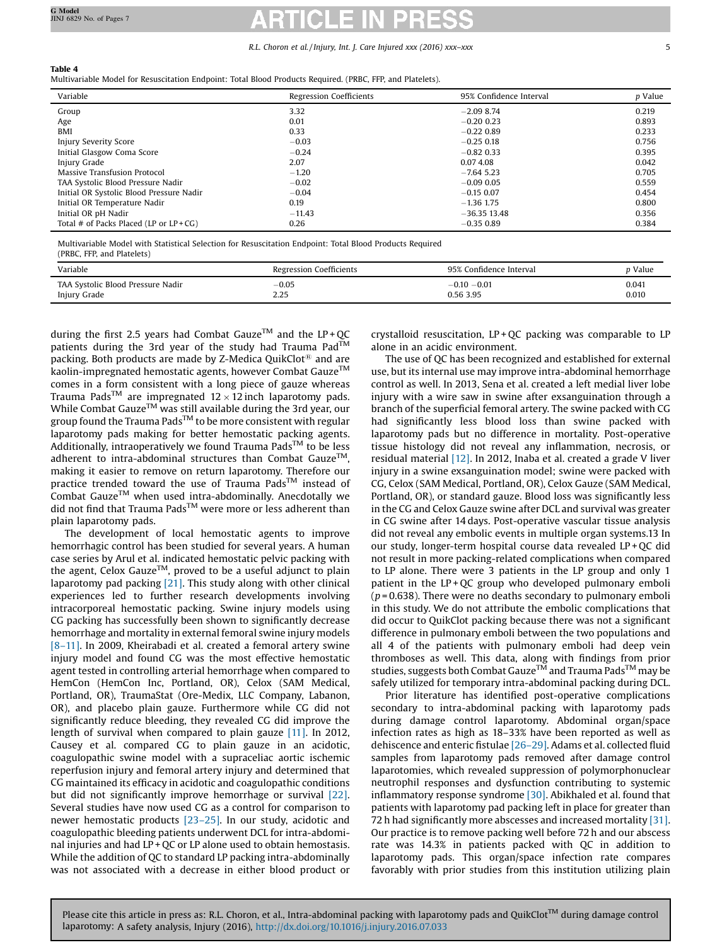# <span id="page-4-0"></span>Table 4

Multivariable Model for Resuscitation Endpoint: Total Blood Products Required. (PRBC, FFP, and Platelets).

| Variable                                   | <b>Regression Coefficients</b> | 95% Confidence Interval | p Value |
|--------------------------------------------|--------------------------------|-------------------------|---------|
| Group                                      | 3.32                           | $-2.098.74$             | 0.219   |
| Age                                        | 0.01                           | $-0.20$ 0.23            | 0.893   |
| BMI                                        | 0.33                           | $-0.22$ 0.89            | 0.233   |
| Injury Severity Score                      | $-0.03$                        | $-0.25$ 0.18            | 0.756   |
| Initial Glasgow Coma Score                 | $-0.24$                        | $-0.82$ 0.33            | 0.395   |
| Injury Grade                               | 2.07                           | 0.07 4.08               | 0.042   |
| Massive Transfusion Protocol               | $-1.20$                        | $-7.64$ 5.23            | 0.705   |
| TAA Systolic Blood Pressure Nadir          | $-0.02$                        | $-0.09$ 0.05            | 0.559   |
| Initial OR Systolic Blood Pressure Nadir   | $-0.04$                        | $-0.15$ 0.07            | 0.454   |
| Initial OR Temperature Nadir               | 0.19                           | $-1.36$ 1.75            | 0.800   |
| Initial OR pH Nadir                        | $-11.43$                       | $-36.3513.48$           | 0.356   |
| Total # of Packs Placed (LP or $LP + CG$ ) | 0.26                           | $-0.350.89$             | 0.384   |

Multivariable Model with Statistical Selection for Resuscitation Endpoint: Total Blood Products Required (PRBC, FFP, and Platelets)

| Variable                          | Regression Coefficients | 95% Confidence Interval | <i>v</i> Value |
|-----------------------------------|-------------------------|-------------------------|----------------|
| TAA Systolic Blood Pressure Nadir | $-0.05$                 | $-0.10 - 0.01$          | 0.041          |
| Injury Grade                      | つつに<br><i>___</i>       | 0.56 3.95               | 0.010          |

during the first 2.5 years had Combat Gauze<sup>TM</sup> and the LP + QC patients during the 3rd year of the study had Trauma Pad<sup>TM</sup> packing. Both products are made by Z-Medica QuikClot<sup>®</sup> and are kaolin-impregnated hemostatic agents, however Combat Gauze<sup>TM</sup> comes in a form consistent with a long piece of gauze whereas Trauma Pads<sup>TM</sup> are impregnated  $12 \times 12$  inch laparotomy pads. While Combat Gauze<sup>TM</sup> was still available during the 3rd year, our group found the Trauma PadsTM to be more consistent with regular laparotomy pads making for better hemostatic packing agents. Additionally, intraoperatively we found Trauma Pads<sup>TM</sup> to be less adherent to intra-abdominal structures than Combat Gauze<sup>TM</sup>, making it easier to remove on return laparotomy. Therefore our practice trended toward the use of Trauma Pads<sup>TM</sup> instead of  $\overline{C}$ combat Gauze<sup>TM</sup> when used intra-abdominally. Anecdotally we did not find that Trauma PadsTM were more or less adherent than plain laparotomy pads.

The development of local hemostatic agents to improve hemorrhagic control has been studied for several years. A human case series by Arul et al. indicated hemostatic pelvic packing with the agent, Celox Gauze<sup>™</sup>, proved to be a useful adjunct to plain laparotomy pad packing [\[21\]](#page-5-0). This study along with other clinical experiences led to further research developments involving intracorporeal hemostatic packing. Swine injury models using CG packing has successfully been shown to significantly decrease hemorrhage and mortality in external femoral swine injury models [8–[11\].](#page-5-0) In 2009, Kheirabadi et al. created a femoral artery swine injury model and found CG was the most effective hemostatic agent tested in controlling arterial hemorrhage when compared to HemCon (HemCon Inc, Portland, OR), Celox (SAM Medical, Portland, OR), TraumaStat (Ore-Medix, LLC Company, Labanon, OR), and placebo plain gauze. Furthermore while CG did not significantly reduce bleeding, they revealed CG did improve the length of survival when compared to plain gauze [\[11\]](#page-5-0). In 2012, Causey et al. compared CG to plain gauze in an acidotic, coagulopathic swine model with a supraceliac aortic ischemic reperfusion injury and femoral artery injury and determined that CG maintained its efficacy in acidotic and coagulopathic conditions but did not significantly improve hemorrhage or survival [\[22\]](#page-5-0). Several studies have now used CG as a control for comparison to newer hemostatic products [\[23](#page-6-0)–25]. In our study, acidotic and coagulopathic bleeding patients underwent DCL for intra-abdominal injuries and had LP + QC or LP alone used to obtain hemostasis. While the addition of QC to standard LP packing intra-abdominally was not associated with a decrease in either blood product or crystalloid resuscitation, LP + QC packing was comparable to LP alone in an acidic environment.

The use of QC has been recognized and established for external use, but its internal use may improve intra-abdominal hemorrhage control as well. In 2013, Sena et al. created a left medial liver lobe injury with a wire saw in swine after exsanguination through a branch of the superficial femoral artery. The swine packed with CG had significantly less blood loss than swine packed with laparotomy pads but no difference in mortality. Post-operative tissue histology did not reveal any inflammation, necrosis, or residual material [\[12\]](#page-5-0). In 2012, Inaba et al. created a grade V liver injury in a swine exsanguination model; swine were packed with CG, Celox (SAM Medical, Portland, OR), Celox Gauze (SAM Medical, Portland, OR), or standard gauze. Blood loss was significantly less in the CG and Celox Gauze swine after DCL and survival was greater in CG swine after 14 days. Post-operative vascular tissue analysis did not reveal any embolic events in multiple organ systems.13 In our study, longer-term hospital course data revealed LP + QC did not result in more packing-related complications when compared to LP alone. There were 3 patients in the LP group and only 1 patient in the LP + QC group who developed pulmonary emboli  $(p = 0.638)$ . There were no deaths secondary to pulmonary emboli in this study. We do not attribute the embolic complications that did occur to QuikClot packing because there was not a significant difference in pulmonary emboli between the two populations and all 4 of the patients with pulmonary emboli had deep vein thromboses as well. This data, along with findings from prior studies, suggests both Combat Gauze<sup>™</sup> and Trauma Pads<sup>™</sup> may be safely utilized for temporary intra-abdominal packing during DCL.

Prior literature has identified post-operative complications secondary to intra-abdominal packing with laparotomy pads during damage control laparotomy. Abdominal organ/space infection rates as high as 18–33% have been reported as well as dehiscence and enteric fistulae [26–[29\].](#page-6-0) Adams et al. collected fluid samples from laparotomy pads removed after damage control laparotomies, which revealed suppression of polymorphonuclear neutrophil responses and dysfunction contributing to systemic inflammatory response syndrome [\[30\]](#page-6-0). Abikhaled et al. found that patients with laparotomy pad packing left in place for greater than 72 h had significantly more abscesses and increased mortality [\[31\]](#page-6-0). Our practice is to remove packing well before 72 h and our abscess rate was 14.3% in patients packed with QC in addition to laparotomy pads. This organ/space infection rate compares favorably with prior studies from this institution utilizing plain

Please cite this article in press as: R.L. Choron, et al., Intra-abdominal packing with laparotomy pads and QuikClot™ during damage control laparotomy: A safety analysis, Injury (2016), <http://dx.doi.org/10.1016/j.injury.2016.07.033>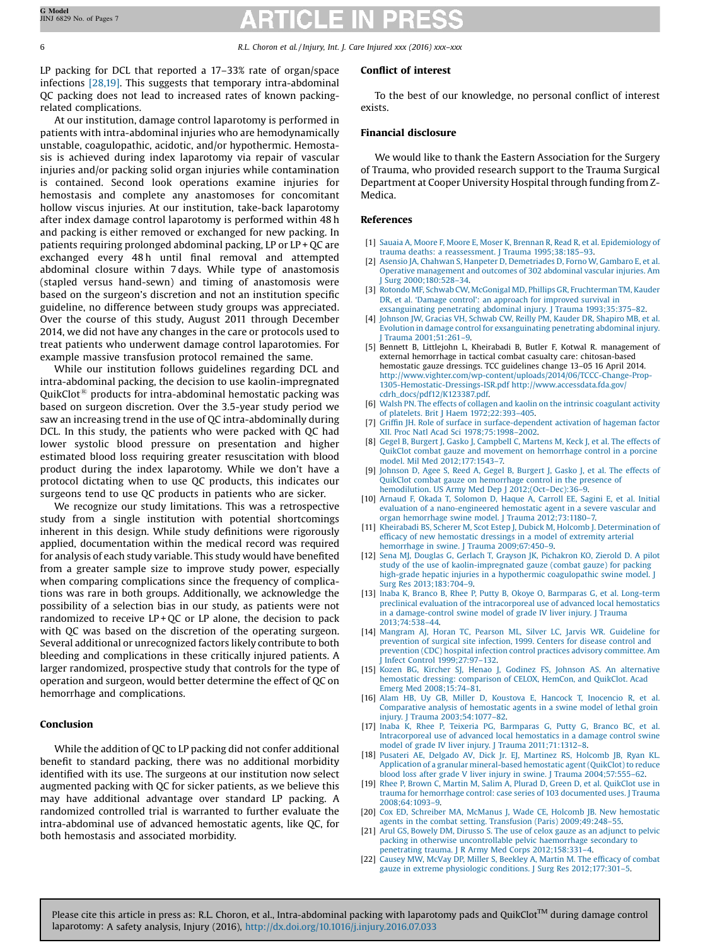LP packing for DCL that reported a 17–33% rate of organ/space infections [\[28,19\].](#page-6-0) This suggests that temporary intra-abdominal QC packing does not lead to increased rates of known packingrelated complications.

At our institution, damage control laparotomy is performed in patients with intra-abdominal injuries who are hemodynamically unstable, coagulopathic, acidotic, and/or hypothermic. Hemostasis is achieved during index laparotomy via repair of vascular injuries and/or packing solid organ injuries while contamination is contained. Second look operations examine injuries for hemostasis and complete any anastomoses for concomitant hollow viscus injuries. At our institution, take-back laparotomy after index damage control laparotomy is performed within 48 h and packing is either removed or exchanged for new packing. In patients requiring prolonged abdominal packing, LP or LP + QC are exchanged every 48h until final removal and attempted abdominal closure within 7 days. While type of anastomosis (stapled versus hand-sewn) and timing of anastomosis were based on the surgeon's discretion and not an institution specific guideline, no difference between study groups was appreciated. Over the course of this study, August 2011 through December 2014, we did not have any changes in the care or protocols used to treat patients who underwent damage control laparotomies. For example massive transfusion protocol remained the same.

While our institution follows guidelines regarding DCL and intra-abdominal packing, the decision to use kaolin-impregnated QuikClot<sup>®</sup> products for intra-abdominal hemostatic packing was based on surgeon discretion. Over the 3.5-year study period we saw an increasing trend in the use of QC intra-abdominally during DCL. In this study, the patients who were packed with QC had lower systolic blood pressure on presentation and higher estimated blood loss requiring greater resuscitation with blood product during the index laparotomy. While we don't have a protocol dictating when to use QC products, this indicates our surgeons tend to use QC products in patients who are sicker.

We recognize our study limitations. This was a retrospective study from a single institution with potential shortcomings inherent in this design. While study definitions were rigorously applied, documentation within the medical record was required for analysis of each study variable. This study would have benefited from a greater sample size to improve study power, especially when comparing complications since the frequency of complications was rare in both groups. Additionally, we acknowledge the possibility of a selection bias in our study, as patients were not randomized to receive  $LP + QC$  or  $LP$  alone, the decision to pack with QC was based on the discretion of the operating surgeon. Several additional or unrecognized factors likely contribute to both bleeding and complications in these critically injured patients. A larger randomized, prospective study that controls for the type of operation and surgeon, would better determine the effect of QC on hemorrhage and complications.

# Conclusion

While the addition of QC to LP packing did not confer additional benefit to standard packing, there was no additional morbidity identified with its use. The surgeons at our institution now select augmented packing with QC for sicker patients, as we believe this may have additional advantage over standard LP packing. A randomized controlled trial is warranted to further evaluate the intra-abdominal use of advanced hemostatic agents, like QC, for both hemostasis and associated morbidity.

# Conflict of interest

To the best of our knowledge, no personal conflict of interest exists.

## Financial disclosure

We would like to thank the Eastern Association for the Surgery of Trauma, who provided research support to the Trauma Surgical Department at Cooper University Hospital through funding from Z-Medica.

### References

- [1] Sauaia A, Moore F, Moore E, Moser K, Brennan R, Read R, et al. [Epidemiology](http://refhub.elsevier.com/S0020-1383(16)30329-1/sbref0005) of trauma deaths: a [reassessment.](http://refhub.elsevier.com/S0020-1383(16)30329-1/sbref0005) J Trauma 1995;38:185–93.
- Asensio JA, Chahwan S, Hanpeter D, [Demetriades](http://refhub.elsevier.com/S0020-1383(16)30329-1/sbref0010) D, Forno W, Gambaro E, et al. Operative [management](http://refhub.elsevier.com/S0020-1383(16)30329-1/sbref0010) and outcomes of 302 abdominal vascular injuries. Am J Surg [2000;180:528](http://refhub.elsevier.com/S0020-1383(16)30329-1/sbref0010)–34.
- [3] Rotondo MF, Schwab CW, McGonigal MD, Phillips GR, [Fruchterman](http://refhub.elsevier.com/S0020-1383(16)30329-1/sbref0015) TM, Kauder DR, et al. 'Damage control': an approach for [improved](http://refhub.elsevier.com/S0020-1383(16)30329-1/sbref0015) survival in [exsanguinating](http://refhub.elsevier.com/S0020-1383(16)30329-1/sbref0015) penetrating abdominal injury. J Trauma 1993;35:375–82.
- [4] [Johnson](http://refhub.elsevier.com/S0020-1383(16)30329-1/sbref0020) JW, Gracias VH, Schwab CW, Reilly PM, Kauder DR, Shapiro MB, et al. Evolution in damage control for [exsanguinating](http://refhub.elsevier.com/S0020-1383(16)30329-1/sbref0020) penetrating abdominal injury. J Trauma [2001;51:261](http://refhub.elsevier.com/S0020-1383(16)30329-1/sbref0020)–9.
- [5] Bennett B, Littlejohn L, Kheirabadi B, Butler F, Kotwal R. management of external hemorrhage in tactical combat casualty care: chitosan-based hemostatic gauze dressings. TCC guidelines change 13–05 16 April 2014. [http://www.vighter.com/wp-content/uploads/2014/06/TCCC-Change-Prop-](http://www.vighter.com/wp-content/uploads/2014/06/TCCC-Change-Prop-1305-Hemostatic-Dressings-ISR.pdf)[1305-Hemostatic-Dressings-ISR.pdf](http://www.vighter.com/wp-content/uploads/2014/06/TCCC-Change-Prop-1305-Hemostatic-Dressings-ISR.pdf) [http://www.accessdata.fda.gov/](http://www.accessdata.fda.gov/cdrh_docs/pdf12/K123387.pdf) [cdrh\\_docs/pdf12/K123387.pdf.](http://www.accessdata.fda.gov/cdrh_docs/pdf12/K123387.pdf)
- [6] Walsh PN. The effects of collagen and kaolin on the intrinsic [coagulant](http://refhub.elsevier.com/S0020-1383(16)30329-1/sbref0030) activity of platelets. Brit J Haem [1972;22:393](http://refhub.elsevier.com/S0020-1383(16)30329-1/sbref0030)–405.
- [7] Griffin JH. Role of surface in [surface-dependent](http://refhub.elsevier.com/S0020-1383(16)30329-1/sbref0035) activation of hageman factor XII. Proc Natl Acad Sci [1978;75:1998](http://refhub.elsevier.com/S0020-1383(16)30329-1/sbref0035)–2002.
- [8] Gegel B, Burgert J, Gasko J, [Campbell](http://refhub.elsevier.com/S0020-1383(16)30329-1/sbref0040) C, Martens M, Keck J, et al. The effects of QuikClot combat gauze and movement on [hemorrhage](http://refhub.elsevier.com/S0020-1383(16)30329-1/sbref0040) control in a porcine model. Mil Med [2012;177:1543](http://refhub.elsevier.com/S0020-1383(16)30329-1/sbref0040)–7.
- [9] [Johnson](http://refhub.elsevier.com/S0020-1383(16)30329-1/sbref0045) D, Agee S, Reed A, Gegel B, Burgert J, Gasko J, et al. The effects of QuikClot combat gauze on [hemorrhage](http://refhub.elsevier.com/S0020-1383(16)30329-1/sbref0045) control in the presence of [hemodilution.](http://refhub.elsevier.com/S0020-1383(16)30329-1/sbref0045) US Army Med Dep J 2012;(Oct–Dec):36–9.
- [10] Arnaud F, Okada T, [Solomon](http://refhub.elsevier.com/S0020-1383(16)30329-1/sbref0050) D, Haque A, Carroll EE, Sagini E, et al. Initial evaluation of a [nano-engineered](http://refhub.elsevier.com/S0020-1383(16)30329-1/sbref0050) hemostatic agent in a severe vascular and organ hemorrhage swine model. J Trauma [2012;73:1180](http://refhub.elsevier.com/S0020-1383(16)30329-1/sbref0050)–7.
- [11] Kheirabadi BS, Scherer M, Scot Estep J, Dubick M, Holcomb J. [Determination](http://refhub.elsevier.com/S0020-1383(16)30329-1/sbref0055) of efficacy of new [hemostatic](http://refhub.elsevier.com/S0020-1383(16)30329-1/sbref0055) dressings in a model of extremity arterial hemorrhage in swine. I Trauma 2009:67:450-9.
- [12] Sena MJ, Douglas G, Gerlach T, Grayson JK, [Pichakron](http://refhub.elsevier.com/S0020-1383(16)30329-1/sbref0060) KO, Zierold D. A pilot study of the use of [kaolin-impregnated](http://refhub.elsevier.com/S0020-1383(16)30329-1/sbref0060) gauze (combat gauze) for packing high-grade hepatic injuries in a hypothermic [coagulopathic](http://refhub.elsevier.com/S0020-1383(16)30329-1/sbref0060) swine model. J Surg Res [2013;183:704](http://refhub.elsevier.com/S0020-1383(16)30329-1/sbref0060)–9.
- [13] Inaba K, Branco B, Rhee P, Putty B, Okoye O, [Barmparas](http://refhub.elsevier.com/S0020-1383(16)30329-1/sbref0065) G, et al. Long-term preclinical evaluation of the [intracorporeal](http://refhub.elsevier.com/S0020-1383(16)30329-1/sbref0065) use of advanced local hemostatics in a [damage-control](http://refhub.elsevier.com/S0020-1383(16)30329-1/sbref0065) swine model of grade IV liver injury. J Trauma [2013;74:538](http://refhub.elsevier.com/S0020-1383(16)30329-1/sbref0065)–44.
- [14] Mangram AJ, Horan TC, Pearson ML, Silver LC, Jarvis WR. [Guideline](http://refhub.elsevier.com/S0020-1383(16)30329-1/sbref0070) for [prevention](http://refhub.elsevier.com/S0020-1383(16)30329-1/sbref0070) of surgical site infection, 1999. Centers for disease control and prevention (CDC) hospital infection control practices advisory [committee.](http://refhub.elsevier.com/S0020-1383(16)30329-1/sbref0070) Am J Infect Control [1999;27:97](http://refhub.elsevier.com/S0020-1383(16)30329-1/sbref0070)–132.
- [15] Kozen BG, Kircher SJ, Henao J, Godinez FS, Johnson AS. An [alternative](http://refhub.elsevier.com/S0020-1383(16)30329-1/sbref0075) hemostatic dressing: [comparison](http://refhub.elsevier.com/S0020-1383(16)30329-1/sbref0075) of CELOX, HemCon, and QuikClot. Acad Emerg Med [2008;15:74](http://refhub.elsevier.com/S0020-1383(16)30329-1/sbref0075)–81.
- [16] Alam HB, Uy GB, Miller D, Koustova E, Hancock T, [Inocencio](http://refhub.elsevier.com/S0020-1383(16)30329-1/sbref0080) R, et al. [Comparative](http://refhub.elsevier.com/S0020-1383(16)30329-1/sbref0080) analysis of hemostatic agents in a swine model of lethal groin injury. J Trauma [2003;54:1077](http://refhub.elsevier.com/S0020-1383(16)30329-1/sbref0080)–82.
- [17] Inaba K, Rhee P, Teixeria PG, [Barmparas](http://refhub.elsevier.com/S0020-1383(16)30329-1/sbref0085) G, Putty G, Branco BC, et al. [Intracorporeal](http://refhub.elsevier.com/S0020-1383(16)30329-1/sbref0085) use of advanced local hemostatics in a damage control swine model of grade IV liver injury. J Trauma [2011;71:1312](http://refhub.elsevier.com/S0020-1383(16)30329-1/sbref0085)–8.
- [18] Pusateri AE, Delgado AV, Dick Jr. EJ, [Martinez](http://refhub.elsevier.com/S0020-1383(16)30329-1/sbref0090) RS, Holcomb JB, Ryan KL. Application of a granular mineral-based hemostatic [agent\(QuikClot\)](http://refhub.elsevier.com/S0020-1383(16)30329-1/sbref0090) to reduce blood loss after grade V liver injury in swine. J Trauma [2004;57:555](http://refhub.elsevier.com/S0020-1383(16)30329-1/sbref0090)–62.
- [19] Rhee P, Brown C, Martin M, Salim A, Plurad D, Green D, et al. [QuikClot](http://refhub.elsevier.com/S0020-1383(16)30329-1/sbref0095) use in trauma for hemorrhage control: case series of 103 [documented](http://refhub.elsevier.com/S0020-1383(16)30329-1/sbref0095) uses. J Trauma [2008;64:1093](http://refhub.elsevier.com/S0020-1383(16)30329-1/sbref0095)–9.
- [20] Cox ED, Schreiber MA, McManus J, Wade CE, Holcomb JB. New [hemostatic](http://refhub.elsevier.com/S0020-1383(16)30329-1/sbref0100) agents in the combat setting. Transfusion (Paris) [2009;49:248](http://refhub.elsevier.com/S0020-1383(16)30329-1/sbref0100)–55.
- [21] Arul GS, Bowely DM, [Dirusso](http://refhub.elsevier.com/S0020-1383(16)30329-1/sbref0105) S. The use of celox gauze as an adjunct to pelvic packing in otherwise [uncontrollable](http://refhub.elsevier.com/S0020-1383(16)30329-1/sbref0105) pelvic haemorrhage secondary to penetrating trauma. J R Army Med Corps [2012;158:331](http://refhub.elsevier.com/S0020-1383(16)30329-1/sbref0105)–4.
- [22] Causey MW, McVay DP, Miller S, [Beekley](http://refhub.elsevier.com/S0020-1383(16)30329-1/sbref0110) A, Martin M. The efficacy of combat gauze in extreme physiologic conditions. J Surg Res [2012;177:301](http://refhub.elsevier.com/S0020-1383(16)30329-1/sbref0110)–5.

Please cite this article in press as: R.L. Choron, et al., Intra-abdominal packing with laparotomy pads and QuikClot<sup>TM</sup> during damage control laparotomy: A safety analysis, Injury (2016), <http://dx.doi.org/10.1016/j.injury.2016.07.033>

<span id="page-5-0"></span>